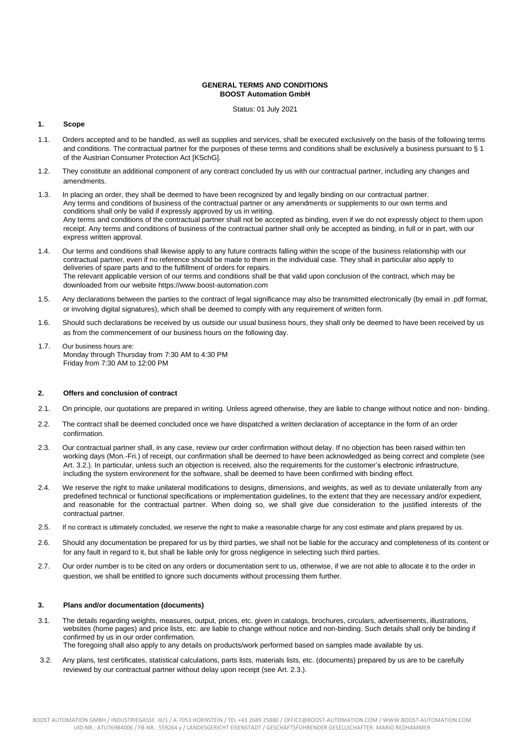# **GENERAL TERMS AND CONDITIONS BOOST Automation GmbH**

Status: 01 July 2021

# **1. Scope**

- 1.1. Orders accepted and to be handled, as well as supplies and services, shall be executed exclusively on the basis of the following terms and conditions. The contractual partner for the purposes of these terms and conditions shall be exclusively a business pursuant to § 1 of the Austrian Consumer Protection Act [KSchG].
- 1.2. They constitute an additional component of any contract concluded by us with our contractual partner, including any changes and amendments.
- 1.3. In placing an order, they shall be deemed to have been recognized by and legally binding on our contractual partner. Any terms and conditions of business of the contractual partner or any amendments or supplements to our own terms and conditions shall only be valid if expressly approved by us in writing. Any terms and conditions of the contractual partner shall not be accepted as binding, even if we do not expressly object to them upon receipt. Any terms and conditions of business of the contractual partner shall only be accepted as binding, in full or in part, with our express written approval.
- 1.4. Our terms and conditions shall likewise apply to any future contracts falling within the scope of the business relationship with our contractual partner, even if no reference should be made to them in the individual case. They shall in particular also apply to deliveries of spare parts and to the fulfillment of orders for repairs. The relevant applicable version of our terms and conditions shall be that valid upon conclusion of the contract, which may be downloaded from our website https://www.boost-automation.com
- 1.5. Any declarations between the parties to the contract of legal significance may also be transmitted electronically (by email in .pdf format, or involving digital signatures), which shall be deemed to comply with any requirement of written form.
- 1.6. Should such declarations be received by us outside our usual business hours, they shall only be deemed to have been received by us as from the commencement of our business hours on the following day.
- 1.7. Our business hours are: Monday through Thursday from 7:30 AM to 4:30 PM Friday from 7:30 AM to 12:00 PM

# **2. Offers and conclusion of contract**

- 2.1. On principle, our quotations are prepared in writing. Unless agreed otherwise, they are liable to change without notice and non- binding.
- 2.2. The contract shall be deemed concluded once we have dispatched a written declaration of acceptance in the form of an order confirmation.
- 2.3. Our contractual partner shall, in any case, review our order confirmation without delay. If no objection has been raised within ten working days (Mon.-Fri.) of receipt, our confirmation shall be deemed to have been acknowledged as being correct and complete (see Art. 3.2.). In particular, unless such an objection is received, also the requirements for the customer's electronic infrastructure, including the system environment for the software, shall be deemed to have been confirmed with binding effect.
- 2.4. We reserve the right to make unilateral modifications to designs, dimensions, and weights, as well as to deviate unilaterally from any predefined technical or functional specifications or implementation guidelines, to the extent that they are necessary and/or expedient, and reasonable for the contractual partner. When doing so, we shall give due consideration to the justified interests of the contractual partner.
- 2.5. If no contract is ultimately concluded, we reserve the right to make a reasonable charge for any cost estimate and plans prepared by us.
- 2.6. Should any documentation be prepared for us by third parties, we shall not be liable for the accuracy and completeness of its content or for any fault in regard to it, but shall be liable only for gross negligence in selecting such third parties.
- 2.7. Our order number is to be cited on any orders or documentation sent to us, otherwise, if we are not able to allocate it to the order in question, we shall be entitled to ignore such documents without processing them further.

#### **3. Plans and/or documentation (documents)**

- 3.1. The details regarding weights, measures, output, prices, etc. given in catalogs, brochures, circulars, advertisements, illustrations, websites (home pages) and price lists, etc. are liable to change without notice and non-binding. Such details shall only be binding if confirmed by us in our order confirmation. The foregoing shall also apply to any details on products/work performed based on samples made available by us.
- 3.2. Any plans, test certificates, statistical calculations, parts lists, materials lists, etc. (documents) prepared by us are to be carefully reviewed by our contractual partner without delay upon receipt (see Art. 2.3.).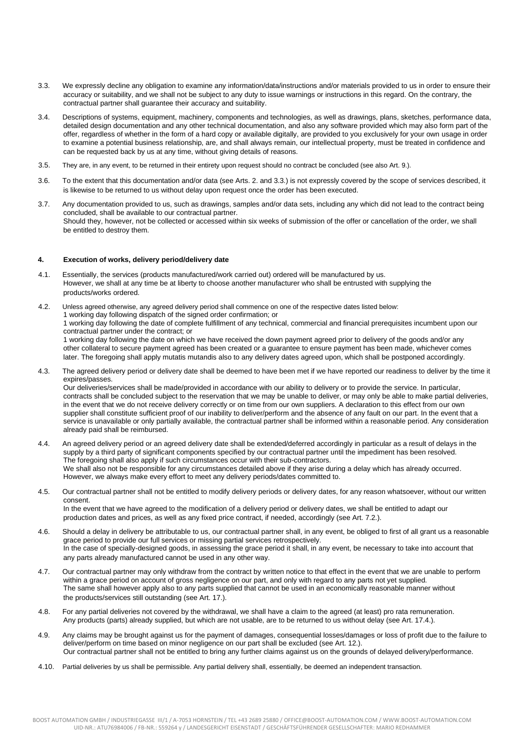- 3.3. We expressly decline any obligation to examine any information/data/instructions and/or materials provided to us in order to ensure their accuracy or suitability, and we shall not be subject to any duty to issue warnings or instructions in this regard. On the contrary, the contractual partner shall guarantee their accuracy and suitability.
- 3.4. Descriptions of systems, equipment, machinery, components and technologies, as well as drawings, plans, sketches, performance data, detailed design documentation and any other technical documentation, and also any software provided which may also form part of the offer, regardless of whether in the form of a hard copy or available digitally, are provided to you exclusively for your own usage in order to examine a potential business relationship, are, and shall always remain, our intellectual property, must be treated in confidence and can be requested back by us at any time, without giving details of reasons.
- 3.5. They are, in any event, to be returned in their entirety upon request should no contract be concluded (see also Art. 9.).
- 3.6. To the extent that this documentation and/or data (see Arts. 2. and 3.3.) is not expressly covered by the scope of services described, it is likewise to be returned to us without delay upon request once the order has been executed.
- 3.7. Any documentation provided to us, such as drawings, samples and/or data sets, including any which did not lead to the contract being concluded, shall be available to our contractual partner. Should they, however, not be collected or accessed within six weeks of submission of the offer or cancellation of the order, we shall be entitled to destroy them.

### **4. Execution of works, delivery period/delivery date**

- 4.1. Essentially, the services (products manufactured/work carried out) ordered will be manufactured by us. However, we shall at any time be at liberty to choose another manufacturer who shall be entrusted with supplying the products/works ordered.
- 4.2. Unless agreed otherwise, any agreed delivery period shall commence on one of the respective dates listed below: 1 working day following dispatch of the signed order confirmation; or 1 working day following the date of complete fulfillment of any technical, commercial and financial prerequisites incumbent upon our contractual partner under the contract; or 1 working day following the date on which we have received the down payment agreed prior to delivery of the goods and/or any other collateral to secure payment agreed has been created or a guarantee to ensure payment has been made, whichever comes later. The foregoing shall apply mutatis mutandis also to any delivery dates agreed upon, which shall be postponed accordingly.
- 4.3. The agreed delivery period or delivery date shall be deemed to have been met if we have reported our readiness to deliver by the time it expires/passes. Our deliveries/services shall be made/provided in accordance with our ability to delivery or to provide the service. In particular, contracts shall be concluded subject to the reservation that we may be unable to deliver, or may only be able to make partial deliveries, in the event that we do not receive delivery correctly or on time from our own suppliers. A declaration to this effect from our own supplier shall constitute sufficient proof of our inability to deliver/perform and the absence of any fault on our part. In the event that a service is unavailable or only partially available, the contractual partner shall be informed within a reasonable period. Any consideration already paid shall be reimbursed.
- 4.4. An agreed delivery period or an agreed delivery date shall be extended/deferred accordingly in particular as a result of delays in the supply by a third party of significant components specified by our contractual partner until the impediment has been resolved. The foregoing shall also apply if such circumstances occur with their sub-contractors. We shall also not be responsible for any circumstances detailed above if they arise during a delay which has already occurred. However, we always make every effort to meet any delivery periods/dates committed to.
- 4.5. Our contractual partner shall not be entitled to modify delivery periods or delivery dates, for any reason whatsoever, without our written consent. In the event that we have agreed to the modification of a delivery period or delivery dates, we shall be entitled to adapt our production dates and prices, as well as any fixed price contract, if needed, accordingly (see Art. 7.2.).
- 4.6. Should a delay in delivery be attributable to us, our contractual partner shall, in any event, be obliged to first of all grant us a reasonable grace period to provide our full services or missing partial services retrospectively. In the case of specially-designed goods, in assessing the grace period it shall, in any event, be necessary to take into account that any parts already manufactured cannot be used in any other way.
- 4.7. Our contractual partner may only withdraw from the contract by written notice to that effect in the event that we are unable to perform within a grace period on account of gross negligence on our part, and only with regard to any parts not yet supplied. The same shall however apply also to any parts supplied that cannot be used in an economically reasonable manner without the products/services still outstanding (see Art. 17.).
- 4.8. For any partial deliveries not covered by the withdrawal, we shall have a claim to the agreed (at least) pro rata remuneration. Any products (parts) already supplied, but which are not usable, are to be returned to us without delay (see Art. 17.4.).
- 4.9. Any claims may be brought against us for the payment of damages, consequential losses/damages or loss of profit due to the failure to deliver/perform on time based on minor negligence on our part shall be excluded (see Art. 12.). Our contractual partner shall not be entitled to bring any further claims against us on the grounds of delayed delivery/performance.
- 4.10. Partial deliveries by us shall be permissible. Any partial delivery shall, essentially, be deemed an independent transaction.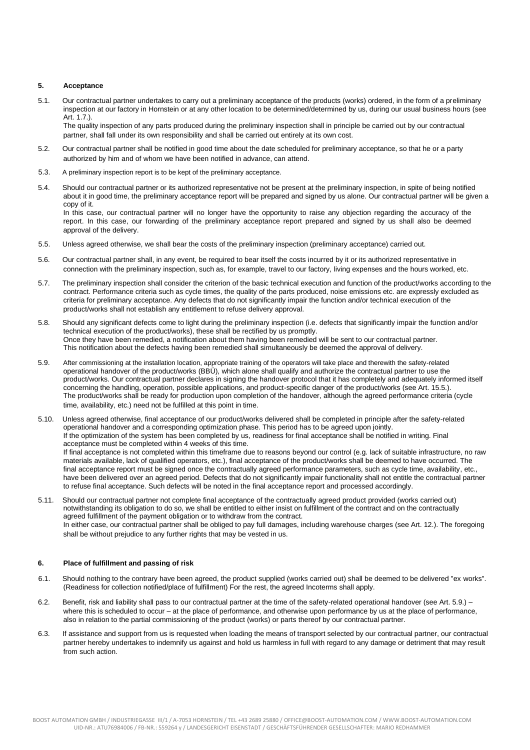### **5. Acceptance**

5.1. Our contractual partner undertakes to carry out a preliminary acceptance of the products (works) ordered, in the form of a preliminary inspection at our factory in Hornstein or at any other location to be determined/determined by us, during our usual business hours (see Art. 1.7.).

The quality inspection of any parts produced during the preliminary inspection shall in principle be carried out by our contractual partner, shall fall under its own responsibility and shall be carried out entirely at its own cost.

- 5.2. Our contractual partner shall be notified in good time about the date scheduled for preliminary acceptance, so that he or a party authorized by him and of whom we have been notified in advance, can attend.
- 5.3. A preliminary inspection report is to be kept of the preliminary acceptance.
- 5.4. Should our contractual partner or its authorized representative not be present at the preliminary inspection, in spite of being notified about it in good time, the preliminary acceptance report will be prepared and signed by us alone. Our contractual partner will be given a copy of it.

In this case, our contractual partner will no longer have the opportunity to raise any objection regarding the accuracy of the report. In this case, our forwarding of the preliminary acceptance report prepared and signed by us shall also be deemed approval of the delivery.

- 5.5. Unless agreed otherwise, we shall bear the costs of the preliminary inspection (preliminary acceptance) carried out.
- 5.6. Our contractual partner shall, in any event, be required to bear itself the costs incurred by it or its authorized representative in connection with the preliminary inspection, such as, for example, travel to our factory, living expenses and the hours worked, etc.
- 5.7. The preliminary inspection shall consider the criterion of the basic technical execution and function of the product/works according to the contract. Performance criteria such as cycle times, the quality of the parts produced, noise emissions etc. are expressly excluded as criteria for preliminary acceptance. Any defects that do not significantly impair the function and/or technical execution of the product/works shall not establish any entitlement to refuse delivery approval.
- 5.8. Should any significant defects come to light during the preliminary inspection (i.e. defects that significantly impair the function and/or technical execution of the product/works), these shall be rectified by us promptly. Once they have been remedied, a notification about them having been remedied will be sent to our contractual partner. This notification about the defects having been remedied shall simultaneously be deemed the approval of delivery.
- 5.9. After commissioning at the installation location, appropriate training of the operators will take place and therewith the safety-related operational handover of the product/works (BBÜ), which alone shall qualify and authorize the contractual partner to use the product/works. Our contractual partner declares in signing the handover protocol that it has completely and adequately informed itself concerning the handling, operation, possible applications, and product-specific danger of the product/works (see Art. 15.5.). The product/works shall be ready for production upon completion of the handover, although the agreed performance criteria (cycle time, availability, etc.) need not be fulfilled at this point in time.
- 5.10. Unless agreed otherwise, final acceptance of our product/works delivered shall be completed in principle after the safety-related operational handover and a corresponding optimization phase. This period has to be agreed upon jointly. If the optimization of the system has been completed by us, readiness for final acceptance shall be notified in writing. Final acceptance must be completed within 4 weeks of this time. If final acceptance is not completed within this timeframe due to reasons beyond our control (e.g. lack of suitable infrastructure, no raw materials available, lack of qualified operators, etc.), final acceptance of the product/works shall be deemed to have occurred. The final acceptance report must be signed once the contractually agreed performance parameters, such as cycle time, availability, etc., have been delivered over an agreed period. Defects that do not significantly impair functionality shall not entitle the contractual partner to refuse final acceptance. Such defects will be noted in the final acceptance report and processed accordingly.
- 5.11. Should our contractual partner not complete final acceptance of the contractually agreed product provided (works carried out) notwithstanding its obligation to do so, we shall be entitled to either insist on fulfillment of the contract and on the contractually agreed fulfillment of the payment obligation or to withdraw from the contract. In either case, our contractual partner shall be obliged to pay full damages, including warehouse charges (see Art. 12.). The foregoing shall be without prejudice to any further rights that may be vested in us.

# **6. Place of fulfillment and passing of risk**

- 6.1. Should nothing to the contrary have been agreed, the product supplied (works carried out) shall be deemed to be delivered "ex works". (Readiness for collection notified/place of fulfillment) For the rest, the agreed Incoterms shall apply.
- 6.2. Benefit, risk and liability shall pass to our contractual partner at the time of the safety-related operational handover (see Art. 5.9.) where this is scheduled to occur – at the place of performance, and otherwise upon performance by us at the place of performance. also in relation to the partial commissioning of the product (works) or parts thereof by our contractual partner.
- 6.3. If assistance and support from us is requested when loading the means of transport selected by our contractual partner, our contractual partner hereby undertakes to indemnify us against and hold us harmless in full with regard to any damage or detriment that may result from such action.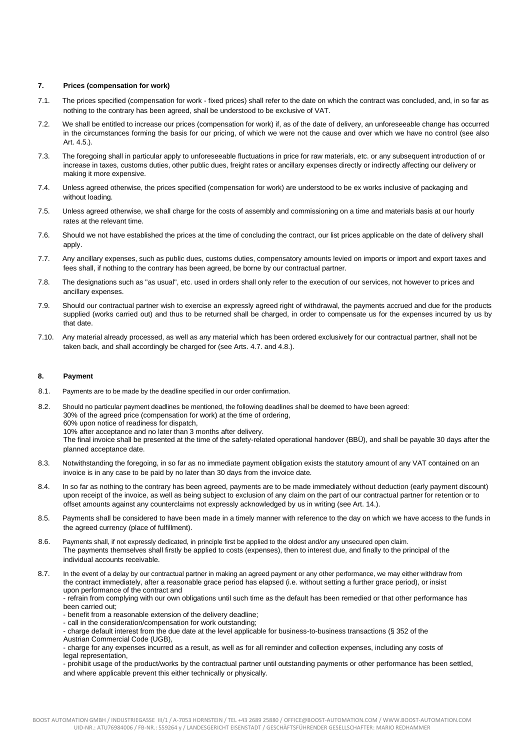### **7. Prices (compensation for work)**

- 7.1. The prices specified (compensation for work fixed prices) shall refer to the date on which the contract was concluded, and, in so far as nothing to the contrary has been agreed, shall be understood to be exclusive of VAT.
- 7.2. We shall be entitled to increase our prices (compensation for work) if, as of the date of delivery, an unforeseeable change has occurred in the circumstances forming the basis for our pricing, of which we were not the cause and over which we have no control (see also Art. 4.5.).
- 7.3. The foregoing shall in particular apply to unforeseeable fluctuations in price for raw materials, etc. or any subsequent introduction of or increase in taxes, customs duties, other public dues, freight rates or ancillary expenses directly or indirectly affecting our delivery or making it more expensive.
- 7.4. Unless agreed otherwise, the prices specified (compensation for work) are understood to be ex works inclusive of packaging and without loading.
- 7.5. Unless agreed otherwise, we shall charge for the costs of assembly and commissioning on a time and materials basis at our hourly rates at the relevant time.
- 7.6. Should we not have established the prices at the time of concluding the contract, our list prices applicable on the date of delivery shall apply.
- 7.7. Any ancillary expenses, such as public dues, customs duties, compensatory amounts levied on imports or import and export taxes and fees shall, if nothing to the contrary has been agreed, be borne by our contractual partner.
- 7.8. The designations such as "as usual", etc. used in orders shall only refer to the execution of our services, not however to prices and ancillary expenses.
- 7.9. Should our contractual partner wish to exercise an expressly agreed right of withdrawal, the payments accrued and due for the products supplied (works carried out) and thus to be returned shall be charged, in order to compensate us for the expenses incurred by us by that date.
- 7.10. Any material already processed, as well as any material which has been ordered exclusively for our contractual partner, shall not be taken back, and shall accordingly be charged for (see Arts. 4.7. and 4.8.).

# **8. Payment**

- 8.1. Payments are to be made by the deadline specified in our order confirmation.
- 8.2. Should no particular payment deadlines be mentioned, the following deadlines shall be deemed to have been agreed: 30% of the agreed price (compensation for work) at the time of ordering, 60% upon notice of readiness for dispatch, 10% after acceptance and no later than 3 months after delivery. The final invoice shall be presented at the time of the safety-related operational handover (BBÜ), and shall be payable 30 days after the planned acceptance date.
- 8.3. Notwithstanding the foregoing, in so far as no immediate payment obligation exists the statutory amount of any VAT contained on an invoice is in any case to be paid by no later than 30 days from the invoice date.
- 8.4. In so far as nothing to the contrary has been agreed, payments are to be made immediately without deduction (early payment discount) upon receipt of the invoice, as well as being subject to exclusion of any claim on the part of our contractual partner for retention or to offset amounts against any counterclaims not expressly acknowledged by us in writing (see Art. 14.).
- 8.5. Payments shall be considered to have been made in a timely manner with reference to the day on which we have access to the funds in the agreed currency (place of fulfillment).
- 8.6. Payments shall, if not expressly dedicated, in principle first be applied to the oldest and/or any unsecured open claim. The payments themselves shall firstly be applied to costs (expenses), then to interest due, and finally to the principal of the individual accounts receivable.
- 8.7. In the event of a delay by our contractual partner in making an agreed payment or any other performance, we may either withdraw from the contract immediately, after a reasonable grace period has elapsed (i.e. without setting a further grace period), or insist upon performance of the contract and

- refrain from complying with our own obligations until such time as the default has been remedied or that other performance has been carried out;

- benefit from a reasonable extension of the delivery deadline;
- call in the consideration/compensation for work outstanding;
- charge default interest from the due date at the level applicable for business-to-business transactions (§ 352 of the
- Austrian Commercial Code (UGB),

- charge for any expenses incurred as a result, as well as for all reminder and collection expenses, including any costs of legal representation,

- prohibit usage of the product/works by the contractual partner until outstanding payments or other performance has been settled, and where applicable prevent this either technically or physically.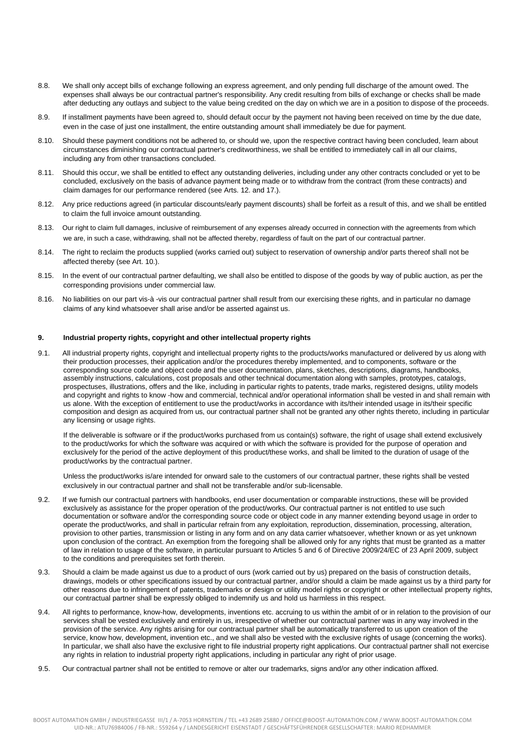- 8.8. We shall only accept bills of exchange following an express agreement, and only pending full discharge of the amount owed. The expenses shall always be our contractual partner's responsibility. Any credit resulting from bills of exchange or checks shall be made after deducting any outlays and subject to the value being credited on the day on which we are in a position to dispose of the proceeds.
- 8.9. If installment payments have been agreed to, should default occur by the payment not having been received on time by the due date, even in the case of just one installment, the entire outstanding amount shall immediately be due for payment.
- 8.10. Should these payment conditions not be adhered to, or should we, upon the respective contract having been concluded, learn about circumstances diminishing our contractual partner's creditworthiness, we shall be entitled to immediately call in all our claims, including any from other transactions concluded.
- 8.11. Should this occur, we shall be entitled to effect any outstanding deliveries, including under any other contracts concluded or yet to be concluded, exclusively on the basis of advance payment being made or to withdraw from the contract (from these contracts) and claim damages for our performance rendered (see Arts. 12. and 17.).
- 8.12. Any price reductions agreed (in particular discounts/early payment discounts) shall be forfeit as a result of this, and we shall be entitled to claim the full invoice amount outstanding.
- 8.13. Our right to claim full damages, inclusive of reimbursement of any expenses already occurred in connection with the agreements from which we are, in such a case, withdrawing, shall not be affected thereby, regardless of fault on the part of our contractual partner.
- 8.14. The right to reclaim the products supplied (works carried out) subject to reservation of ownership and/or parts thereof shall not be affected thereby (see Art. 10.).
- 8.15. In the event of our contractual partner defaulting, we shall also be entitled to dispose of the goods by way of public auction, as per the corresponding provisions under commercial law.
- 8.16. No liabilities on our part vis-à -vis our contractual partner shall result from our exercising these rights, and in particular no damage claims of any kind whatsoever shall arise and/or be asserted against us.

# **9. Industrial property rights, copyright and other intellectual property rights**

9.1. All industrial property rights, copyright and intellectual property rights to the products/works manufactured or delivered by us along with their production processes, their application and/or the procedures thereby implemented, and to components, software or the corresponding source code and object code and the user documentation, plans, sketches, descriptions, diagrams, handbooks, assembly instructions, calculations, cost proposals and other technical documentation along with samples, prototypes, catalogs, prospectuses, illustrations, offers and the like, including in particular rights to patents, trade marks, registered designs, utility models and copyright and rights to know -how and commercial, technical and/or operational information shall be vested in and shall remain with us alone. With the exception of entitlement to use the product/works in accordance with its/their intended usage in its/their specific composition and design as acquired from us, our contractual partner shall not be granted any other rights thereto, including in particular any licensing or usage rights.

If the deliverable is software or if the product/works purchased from us contain(s) software, the right of usage shall extend exclusively to the product/works for which the software was acquired or with which the software is provided for the purpose of operation and exclusively for the period of the active deployment of this product/these works, and shall be limited to the duration of usage of the product/works by the contractual partner.

Unless the product/works is/are intended for onward sale to the customers of our contractual partner, these rights shall be vested exclusively in our contractual partner and shall not be transferable and/or sub-licensable.

- 9.2. If we furnish our contractual partners with handbooks, end user documentation or comparable instructions, these will be provided exclusively as assistance for the proper operation of the product/works. Our contractual partner is not entitled to use such documentation or software and/or the corresponding source code or object code in any manner extending beyond usage in order to operate the product/works, and shall in particular refrain from any exploitation, reproduction, dissemination, processing, alteration, provision to other parties, transmission or listing in any form and on any data carrier whatsoever, whether known or as yet unknown upon conclusion of the contract. An exemption from the foregoing shall be allowed only for any rights that must be granted as a matter of law in relation to usage of the software, in particular pursuant to Articles 5 and 6 of Directive 2009/24/EC of 23 April 2009, subject to the conditions and prerequisites set forth therein.
- 9.3. Should a claim be made against us due to a product of ours (work carried out by us) prepared on the basis of construction details, drawings, models or other specifications issued by our contractual partner, and/or should a claim be made against us by a third party for other reasons due to infringement of patents, trademarks or design or utility model rights or copyright or other intellectual property rights, our contractual partner shall be expressly obliged to indemnify us and hold us harmless in this respect.
- 9.4. All rights to performance, know-how, developments, inventions etc. accruing to us within the ambit of or in relation to the provision of our services shall be vested exclusively and entirely in us, irrespective of whether our contractual partner was in any way involved in the provision of the service. Any rights arising for our contractual partner shall be automatically transferred to us upon creation of the service, know how, development, invention etc., and we shall also be vested with the exclusive rights of usage (concerning the works). In particular, we shall also have the exclusive right to file industrial property right applications. Our contractual partner shall not exercise any rights in relation to industrial property right applications, including in particular any right of prior usage.
- 9.5. Our contractual partner shall not be entitled to remove or alter our trademarks, signs and/or any other indication affixed.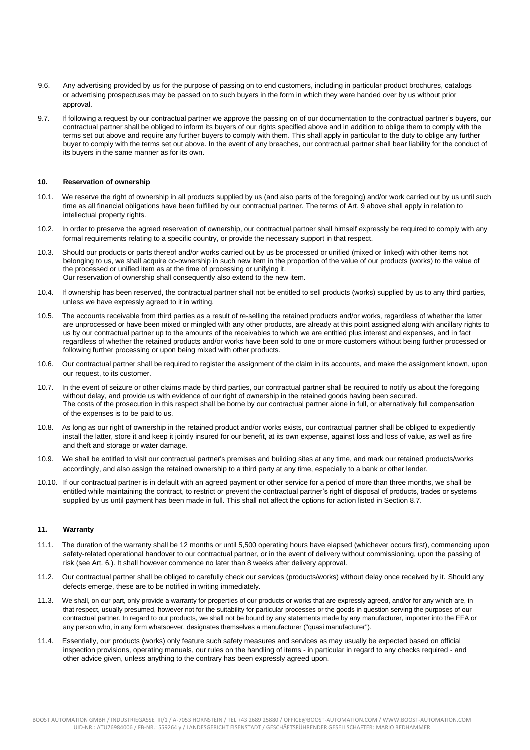- 9.6. Any advertising provided by us for the purpose of passing on to end customers, including in particular product brochures, catalogs or advertising prospectuses may be passed on to such buyers in the form in which they were handed over by us without prior approval.
- 9.7. If following a request by our contractual partner we approve the passing on of our documentation to the contractual partner's buyers, our contractual partner shall be obliged to inform its buyers of our rights specified above and in addition to oblige them to comply with the terms set out above and require any further buyers to comply with them. This shall apply in particular to the duty to oblige any further buyer to comply with the terms set out above. In the event of any breaches, our contractual partner shall bear liability for the conduct of its buyers in the same manner as for its own.

# **10. Reservation of ownership**

- 10.1. We reserve the right of ownership in all products supplied by us (and also parts of the foregoing) and/or work carried out by us until such time as all financial obligations have been fulfilled by our contractual partner. The terms of Art. 9 above shall apply in relation to intellectual property rights.
- 10.2. In order to preserve the agreed reservation of ownership, our contractual partner shall himself expressly be required to comply with any formal requirements relating to a specific country, or provide the necessary support in that respect.
- 10.3. Should our products or parts thereof and/or works carried out by us be processed or unified (mixed or linked) with other items not belonging to us, we shall acquire co-ownership in such new item in the proportion of the value of our products (works) to the value of the processed or unified item as at the time of processing or unifying it. Our reservation of ownership shall consequently also extend to the new item.
- 10.4. If ownership has been reserved, the contractual partner shall not be entitled to sell products (works) supplied by us to any third parties, unless we have expressly agreed to it in writing.
- 10.5. The accounts receivable from third parties as a result of re-selling the retained products and/or works, regardless of whether the latter are unprocessed or have been mixed or mingled with any other products, are already at this point assigned along with ancillary rights to us by our contractual partner up to the amounts of the receivables to which we are entitled plus interest and expenses, and in fact regardless of whether the retained products and/or works have been sold to one or more customers without being further processed or following further processing or upon being mixed with other products.
- 10.6. Our contractual partner shall be required to register the assignment of the claim in its accounts, and make the assignment known, upon our request, to its customer.
- 10.7. In the event of seizure or other claims made by third parties, our contractual partner shall be required to notify us about the foregoing without delay, and provide us with evidence of our right of ownership in the retained goods having been secured. The costs of the prosecution in this respect shall be borne by our contractual partner alone in full, or alternatively full compensation of the expenses is to be paid to us.
- 10.8. As long as our right of ownership in the retained product and/or works exists, our contractual partner shall be obliged to expediently install the latter, store it and keep it jointly insured for our benefit, at its own expense, against loss and loss of value, as well as fire and theft and storage or water damage.
- 10.9. We shall be entitled to visit our contractual partner's premises and building sites at any time, and mark our retained products/works accordingly, and also assign the retained ownership to a third party at any time, especially to a bank or other lender.
- 10.10. If our contractual partner is in default with an agreed payment or other service for a period of more than three months, we shall be entitled while maintaining the contract, to restrict or prevent the contractual partner's right of disposal of products, trades or systems supplied by us until payment has been made in full. This shall not affect the options for action listed in Section 8.7.

# **11. Warranty**

- 11.1. The duration of the warranty shall be 12 months or until 5,500 operating hours have elapsed (whichever occurs first), commencing upon safety-related operational handover to our contractual partner, or in the event of delivery without commissioning, upon the passing of risk (see Art. 6.). It shall however commence no later than 8 weeks after delivery approval.
- 11.2. Our contractual partner shall be obliged to carefully check our services (products/works) without delay once received by it. Should any defects emerge, these are to be notified in writing immediately.
- 11.3. We shall, on our part, only provide a warranty for properties of our products or works that are expressly agreed, and/or for any which are, in that respect, usually presumed, however not for the suitability for particular processes or the goods in question serving the purposes of our contractual partner. In regard to our products, we shall not be bound by any statements made by any manufacturer, importer into the EEA or any person who, in any form whatsoever, designates themselves a manufacturer ("quasi manufacturer").
- 11.4. Essentially, our products (works) only feature such safety measures and services as may usually be expected based on official inspection provisions, operating manuals, our rules on the handling of items - in particular in regard to any checks required - and other advice given, unless anything to the contrary has been expressly agreed upon.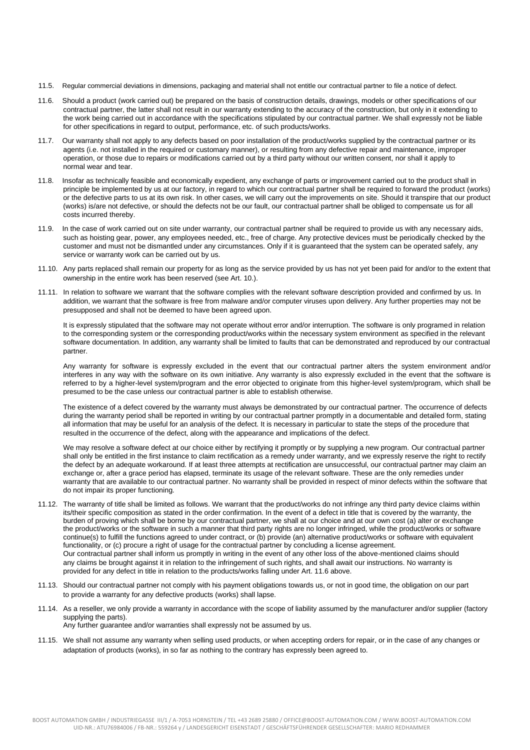- 11.5. Regular commercial deviations in dimensions, packaging and material shall not entitle our contractual partner to file a notice of defect.
- 11.6. Should a product (work carried out) be prepared on the basis of construction details, drawings, models or other specifications of our contractual partner, the latter shall not result in our warranty extending to the accuracy of the construction, but only in it extending to the work being carried out in accordance with the specifications stipulated by our contractual partner. We shall expressly not be liable for other specifications in regard to output, performance, etc. of such products/works.
- 11.7. Our warranty shall not apply to any defects based on poor installation of the product/works supplied by the contractual partner or its agents (i.e. not installed in the required or customary manner), or resulting from any defective repair and maintenance, improper operation, or those due to repairs or modifications carried out by a third party without our written consent, nor shall it apply to normal wear and tear.
- 11.8. Insofar as technically feasible and economically expedient, any exchange of parts or improvement carried out to the product shall in principle be implemented by us at our factory, in regard to which our contractual partner shall be required to forward the product (works) or the defective parts to us at its own risk. In other cases, we will carry out the improvements on site. Should it transpire that our product (works) is/are not defective, or should the defects not be our fault, our contractual partner shall be obliged to compensate us for all costs incurred thereby.
- 11.9. In the case of work carried out on site under warranty, our contractual partner shall be required to provide us with any necessary aids, such as hoisting gear, power, any employees needed, etc., free of charge. Any protective devices must be periodically checked by the customer and must not be dismantled under any circumstances. Only if it is guaranteed that the system can be operated safely, any service or warranty work can be carried out by us.
- 11.10. Any parts replaced shall remain our property for as long as the service provided by us has not yet been paid for and/or to the extent that ownership in the entire work has been reserved (see Art. 10.).
- 11.11. In relation to software we warrant that the software complies with the relevant software description provided and confirmed by us. In addition, we warrant that the software is free from malware and/or computer viruses upon delivery. Any further properties may not be presupposed and shall not be deemed to have been agreed upon.

It is expressly stipulated that the software may not operate without error and/or interruption. The software is only programed in relation to the corresponding system or the corresponding product/works within the necessary system environment as specified in the relevant software documentation. In addition, any warranty shall be limited to faults that can be demonstrated and reproduced by our contractual partner.

Any warranty for software is expressly excluded in the event that our contractual partner alters the system environment and/or interferes in any way with the software on its own initiative. Any warranty is also expressly excluded in the event that the software is referred to by a higher-level system/program and the error objected to originate from this higher-level system/program, which shall be presumed to be the case unless our contractual partner is able to establish otherwise.

The existence of a defect covered by the warranty must always be demonstrated by our contractual partner. The occurrence of defects during the warranty period shall be reported in writing by our contractual partner promptly in a documentable and detailed form, stating all information that may be useful for an analysis of the defect. It is necessary in particular to state the steps of the procedure that resulted in the occurrence of the defect, along with the appearance and implications of the defect.

We may resolve a software defect at our choice either by rectifying it promptly or by supplying a new program. Our contractual partner shall only be entitled in the first instance to claim rectification as a remedy under warranty, and we expressly reserve the right to rectify the defect by an adequate workaround. If at least three attempts at rectification are unsuccessful, our contractual partner may claim an exchange or, after a grace period has elapsed, terminate its usage of the relevant software. These are the only remedies under warranty that are available to our contractual partner. No warranty shall be provided in respect of minor defects within the software that do not impair its proper functioning.

- 11.12. The warranty of title shall be limited as follows. We warrant that the product/works do not infringe any third party device claims within its/their specific composition as stated in the order confirmation. In the event of a defect in title that is covered by the warranty, the burden of proving which shall be borne by our contractual partner, we shall at our choice and at our own cost (a) alter or exchange the product/works or the software in such a manner that third party rights are no longer infringed, while the product/works or software continue(s) to fulfill the functions agreed to under contract, or (b) provide (an) alternative product/works or software with equivalent functionality, or (c) procure a right of usage for the contractual partner by concluding a license agreement. Our contractual partner shall inform us promptly in writing in the event of any other loss of the above-mentioned claims should any claims be brought against it in relation to the infringement of such rights, and shall await our instructions. No warranty is provided for any defect in title in relation to the products/works falling under Art. 11.6 above.
- 11.13. Should our contractual partner not comply with his payment obligations towards us, or not in good time, the obligation on our part to provide a warranty for any defective products (works) shall lapse.
- 11.14. As a reseller, we only provide a warranty in accordance with the scope of liability assumed by the manufacturer and/or supplier (factory supplying the parts).

Any further guarantee and/or warranties shall expressly not be assumed by us.

11.15. We shall not assume any warranty when selling used products, or when accepting orders for repair, or in the case of any changes or adaptation of products (works), in so far as nothing to the contrary has expressly been agreed to.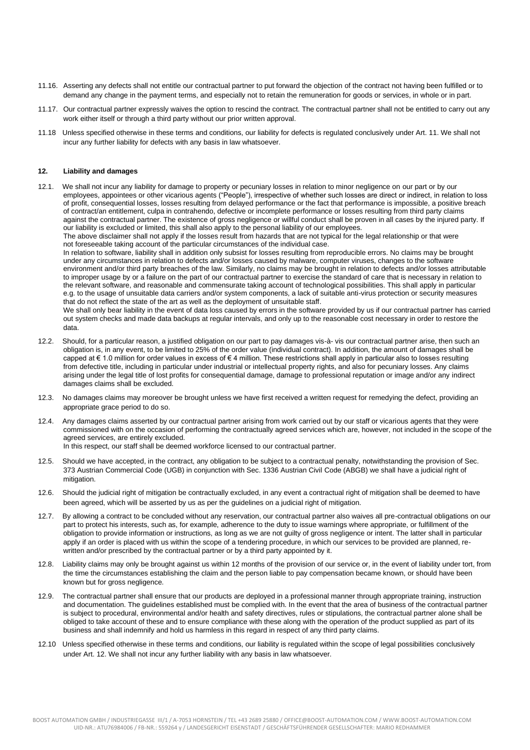- 11.16. Asserting any defects shall not entitle our contractual partner to put forward the objection of the contract not having been fulfilled or to demand any change in the payment terms, and especially not to retain the remuneration for goods or services, in whole or in part.
- 11.17. Our contractual partner expressly waives the option to rescind the contract. The contractual partner shall not be entitled to carry out any work either itself or through a third party without our prior written approval.
- 11.18 Unless specified otherwise in these terms and conditions, our liability for defects is regulated conclusively under Art. 11. We shall not incur any further liability for defects with any basis in law whatsoever.

# **12. Liability and damages**

12.1. We shall not incur any liability for damage to property or pecuniary losses in relation to minor negligence on our part or by our employees, appointees or other vicarious agents ("People"), irrespective of whether such losses are direct or indirect, in relation to loss of profit, consequential losses, losses resulting from delayed performance or the fact that performance is impossible, a positive breach of contract/an entitlement, culpa in contrahendo, defective or incomplete performance or losses resulting from third party claims against the contractual partner. The existence of gross negligence or willful conduct shall be proven in all cases by the injured party. If our liability is excluded or limited, this shall also apply to the personal liability of our employees.

The above disclaimer shall not apply if the losses result from hazards that are not typical for the legal relationship or that were not foreseeable taking account of the particular circumstances of the individual case.

In relation to software, liability shall in addition only subsist for losses resulting from reproducible errors. No claims may be brought under any circumstances in relation to defects and/or losses caused by malware, computer viruses, changes to the software environment and/or third party breaches of the law. Similarly, no claims may be brought in relation to defects and/or losses attributable to improper usage by or a failure on the part of our contractual partner to exercise the standard of care that is necessary in relation to the relevant software, and reasonable and commensurate taking account of technological possibilities. This shall apply in particular e.g. to the usage of unsuitable data carriers and/or system components, a lack of suitable anti-virus protection or security measures that do not reflect the state of the art as well as the deployment of unsuitable staff.

We shall only bear liability in the event of data loss caused by errors in the software provided by us if our contractual partner has carried out system checks and made data backups at regular intervals, and only up to the reasonable cost necessary in order to restore the data.

- 12.2. Should, for a particular reason, a justified obligation on our part to pay damages vis-à- vis our contractual partner arise, then such an obligation is, in any event, to be limited to 25% of the order value (individual contract). In addition, the amount of damages shall be capped at € 1.0 million for order values in excess of € 4 million. These restrictions shall apply in particular also to losses resulting from defective title, including in particular under industrial or intellectual property rights, and also for pecuniary losses. Any claims arising under the legal title of lost profits for consequential damage, damage to professional reputation or image and/or any indirect damages claims shall be excluded.
- 12.3. No damages claims may moreover be brought unless we have first received a written request for remedying the defect, providing an appropriate grace period to do so.
- 12.4. Any damages claims asserted by our contractual partner arising from work carried out by our staff or vicarious agents that they were commissioned with on the occasion of performing the contractually agreed services which are, however, not included in the scope of the agreed services, are entirely excluded. In this respect, our staff shall be deemed workforce licensed to our contractual partner.
- 12.5. Should we have accepted, in the contract, any obligation to be subject to a contractual penalty, notwithstanding the provision of Sec. 373 Austrian Commercial Code (UGB) in conjunction with Sec. 1336 Austrian Civil Code (ABGB) we shall have a judicial right of mitigation.
- 12.6. Should the judicial right of mitigation be contractually excluded, in any event a contractual right of mitigation shall be deemed to have been agreed, which will be asserted by us as per the guidelines on a judicial right of mitigation.
- 12.7. By allowing a contract to be concluded without any reservation, our contractual partner also waives all pre-contractual obligations on our part to protect his interests, such as, for example, adherence to the duty to issue warnings where appropriate, or fulfillment of the obligation to provide information or instructions, as long as we are not guilty of gross negligence or intent. The latter shall in particular apply if an order is placed with us within the scope of a tendering procedure, in which our services to be provided are planned, rewritten and/or prescribed by the contractual partner or by a third party appointed by it.
- 12.8. Liability claims may only be brought against us within 12 months of the provision of our service or, in the event of liability under tort, from the time the circumstances establishing the claim and the person liable to pay compensation became known, or should have been known but for gross negligence.
- 12.9. The contractual partner shall ensure that our products are deployed in a professional manner through appropriate training, instruction and documentation. The guidelines established must be complied with. In the event that the area of business of the contractual partner is subject to procedural, environmental and/or health and safety directives, rules or stipulations, the contractual partner alone shall be obliged to take account of these and to ensure compliance with these along with the operation of the product supplied as part of its business and shall indemnify and hold us harmless in this regard in respect of any third party claims.
- 12.10 Unless specified otherwise in these terms and conditions, our liability is regulated within the scope of legal possibilities conclusively under Art. 12. We shall not incur any further liability with any basis in law whatsoever.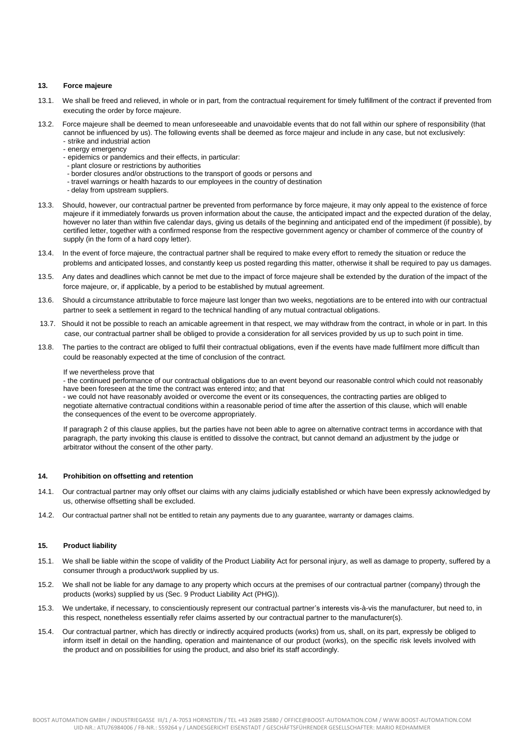### **13. Force majeure**

- 13.1. We shall be freed and relieved, in whole or in part, from the contractual requirement for timely fulfillment of the contract if prevented from executing the order by force majeure.
- 13.2. Force majeure shall be deemed to mean unforeseeable and unavoidable events that do not fall within our sphere of responsibility (that cannot be influenced by us). The following events shall be deemed as force majeur and include in any case, but not exclusively: - strike and industrial action
	- energy emergency
	- epidemics or pandemics and their effects, in particular:
	- plant closure or restrictions by authorities
	- border closures and/or obstructions to the transport of goods or persons and
	- travel warnings or health hazards to our employees in the country of destination
	- delay from upstream suppliers.
- 13.3. Should, however, our contractual partner be prevented from performance by force majeure, it may only appeal to the existence of force majeure if it immediately forwards us proven information about the cause, the anticipated impact and the expected duration of the delay, however no later than within five calendar days, giving us details of the beginning and anticipated end of the impediment (if possible), by certified letter, together with a confirmed response from the respective government agency or chamber of commerce of the country of supply (in the form of a hard copy letter).
- 13.4. In the event of force majeure, the contractual partner shall be required to make every effort to remedy the situation or reduce the problems and anticipated losses, and constantly keep us posted regarding this matter, otherwise it shall be required to pay us damages.
- 13.5. Any dates and deadlines which cannot be met due to the impact of force majeure shall be extended by the duration of the impact of the force majeure, or, if applicable, by a period to be established by mutual agreement.
- 13.6. Should a circumstance attributable to force majeure last longer than two weeks, negotiations are to be entered into with our contractual partner to seek a settlement in regard to the technical handling of any mutual contractual obligations.
- 13.7. Should it not be possible to reach an amicable agreement in that respect, we may withdraw from the contract, in whole or in part. In this case, our contractual partner shall be obliged to provide a consideration for all services provided by us up to such point in time.
- 13.8. The parties to the contract are obliged to fulfil their contractual obligations, even if the events have made fulfilment more difficult than could be reasonably expected at the time of conclusion of the contract.

### If we nevertheless prove that

- the continued performance of our contractual obligations due to an event beyond our reasonable control which could not reasonably have been foreseen at the time the contract was entered into; and that

- we could not have reasonably avoided or overcome the event or its consequences, the contracting parties are obliged to negotiate alternative contractual conditions within a reasonable period of time after the assertion of this clause, which will enable the consequences of the event to be overcome appropriately.

If paragraph 2 of this clause applies, but the parties have not been able to agree on alternative contract terms in accordance with that paragraph, the party invoking this clause is entitled to dissolve the contract, but cannot demand an adjustment by the judge or arbitrator without the consent of the other party.

### **14. Prohibition on offsetting and retention**

- 14.1. Our contractual partner may only offset our claims with any claims judicially established or which have been expressly acknowledged by us, otherwise offsetting shall be excluded.
- 14.2. Our contractual partner shall not be entitled to retain any payments due to any guarantee, warranty or damages claims.

# **15. Product liability**

- 15.1. We shall be liable within the scope of validity of the Product Liability Act for personal injury, as well as damage to property, suffered by a consumer through a product/work supplied by us.
- 15.2. We shall not be liable for any damage to any property which occurs at the premises of our contractual partner (company) through the products (works) supplied by us (Sec. 9 Product Liability Act (PHG)).
- 15.3. We undertake, if necessary, to conscientiously represent our contractual partner's interests vis-à-vis the manufacturer, but need to, in this respect, nonetheless essentially refer claims asserted by our contractual partner to the manufacturer(s).
- 15.4. Our contractual partner, which has directly or indirectly acquired products (works) from us, shall, on its part, expressly be obliged to inform itself in detail on the handling, operation and maintenance of our product (works), on the specific risk levels involved with the product and on possibilities for using the product, and also brief its staff accordingly.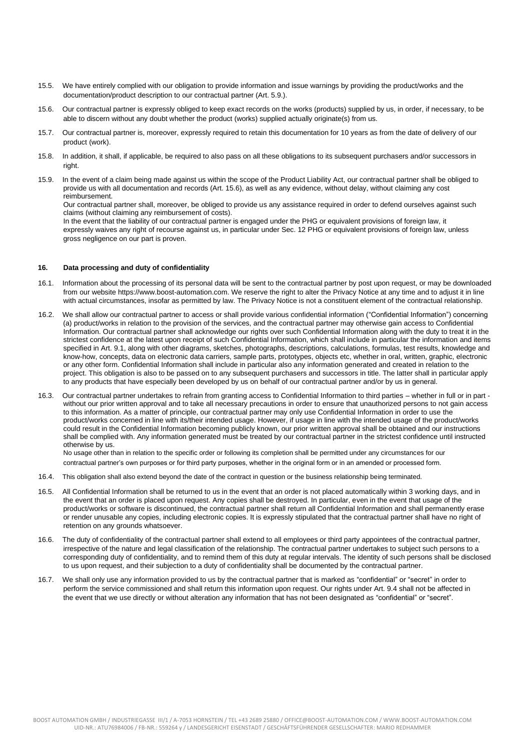- 15.5. We have entirely complied with our obligation to provide information and issue warnings by providing the product/works and the documentation/product description to our contractual partner (Art. 5.9.).
- 15.6. Our contractual partner is expressly obliged to keep exact records on the works (products) supplied by us, in order, if necessary, to be able to discern without any doubt whether the product (works) supplied actually originate(s) from us.
- 15.7. Our contractual partner is, moreover, expressly required to retain this documentation for 10 years as from the date of delivery of our product (work).
- 15.8. In addition, it shall, if applicable, be required to also pass on all these obligations to its subsequent purchasers and/or successors in right.
- 15.9. In the event of a claim being made against us within the scope of the Product Liability Act, our contractual partner shall be obliged to provide us with all documentation and records (Art. 15.6), as well as any evidence, without delay, without claiming any cost reimbursement.

Our contractual partner shall, moreover, be obliged to provide us any assistance required in order to defend ourselves against such claims (without claiming any reimbursement of costs).

In the event that the liability of our contractual partner is engaged under the PHG or equivalent provisions of foreign law, it expressly waives any right of recourse against us, in particular under Sec. 12 PHG or equivalent provisions of foreign law, unless gross negligence on our part is proven.

# **16. Data processing and duty of confidentiality**

- 16.1. Information about the processing of its personal data will be sent to the contractual partner by post upon request, or may be downloaded from our website https://www.boost-automation.com. We reserve the right to alter the Privacy Notice at any time and to adjust it in line with actual circumstances, insofar as permitted by law. The Privacy Notice is not a constituent element of the contractual relationship.
- 16.2. We shall allow our contractual partner to access or shall provide various confidential information ("Confidential Information") concerning (a) product/works in relation to the provision of the services, and the contractual partner may otherwise gain access to Confidential Information. Our contractual partner shall acknowledge our rights over such Confidential Information along with the duty to treat it in the strictest confidence at the latest upon receipt of such Confidential Information, which shall include in particular the information and items specified in Art. 9.1, along with other diagrams, sketches, photographs, descriptions, calculations, formulas, test results, knowledge and know-how, concepts, data on electronic data carriers, sample parts, prototypes, objects etc, whether in oral, written, graphic, electronic or any other form. Confidential Information shall include in particular also any information generated and created in relation to the project. This obligation is also to be passed on to any subsequent purchasers and successors in title. The latter shall in particular apply to any products that have especially been developed by us on behalf of our contractual partner and/or by us in general.
- 16.3. Our contractual partner undertakes to refrain from granting access to Confidential Information to third parties whether in full or in part without our prior written approval and to take all necessary precautions in order to ensure that unauthorized persons to not gain access to this information. As a matter of principle, our contractual partner may only use Confidential Information in order to use the product/works concerned in line with its/their intended usage. However, if usage in line with the intended usage of the product/works could result in the Confidential Information becoming publicly known, our prior written approval shall be obtained and our instructions shall be complied with. Any information generated must be treated by our contractual partner in the strictest confidence until instructed otherwise by us.

No usage other than in relation to the specific order or following its completion shall be permitted under any circumstances for our contractual partner's own purposes or for third party purposes, whether in the original form or in an amended or processed form.

- 16.4. This obligation shall also extend beyond the date of the contract in question or the business relationship being terminated.
- 16.5. All Confidential Information shall be returned to us in the event that an order is not placed automatically within 3 working days, and in the event that an order is placed upon request. Any copies shall be destroyed. In particular, even in the event that usage of the product/works or software is discontinued, the contractual partner shall return all Confidential Information and shall permanently erase or render unusable any copies, including electronic copies. It is expressly stipulated that the contractual partner shall have no right of retention on any grounds whatsoever.
- 16.6. The duty of confidentiality of the contractual partner shall extend to all employees or third party appointees of the contractual partner, irrespective of the nature and legal classification of the relationship. The contractual partner undertakes to subject such persons to a corresponding duty of confidentiality, and to remind them of this duty at regular intervals. The identity of such persons shall be disclosed to us upon request, and their subjection to a duty of confidentiality shall be documented by the contractual partner.
- 16.7. We shall only use any information provided to us by the contractual partner that is marked as "confidential" or "secret" in order to perform the service commissioned and shall return this information upon request. Our rights under Art. 9.4 shall not be affected in the event that we use directly or without alteration any information that has not been designated as "confidential" or "secret".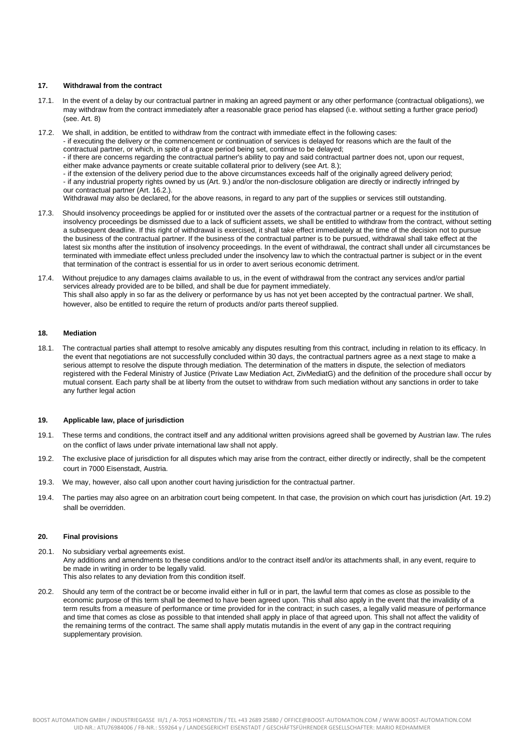### **17. Withdrawal from the contract**

- 17.1. In the event of a delay by our contractual partner in making an agreed payment or any other performance (contractual obligations), we may withdraw from the contract immediately after a reasonable grace period has elapsed (i.e. without setting a further grace period) (see. Art. 8)
- 17.2. We shall, in addition, be entitled to withdraw from the contract with immediate effect in the following cases: - if executing the delivery or the commencement or continuation of services is delayed for reasons which are the fault of the contractual partner, or which, in spite of a grace period being set, continue to be delayed; - if there are concerns regarding the contractual partner's ability to pay and said contractual partner does not, upon our request, either make advance payments or create suitable collateral prior to delivery (see Art. 8.); - if the extension of the delivery period due to the above circumstances exceeds half of the originally agreed delivery period; - if any industrial property rights owned by us (Art. 9.) and/or the non-disclosure obligation are directly or indirectly infringed by our contractual partner (Art. 16.2.). Withdrawal may also be declared, for the above reasons, in regard to any part of the supplies or services still outstanding. 17.3. Should insolvency proceedings be applied for or instituted over the assets of the contractual partner or a request for the institution of
- insolvency proceedings be dismissed due to a lack of sufficient assets, we shall be entitled to withdraw from the contract, without setting a subsequent deadline. If this right of withdrawal is exercised, it shall take effect immediately at the time of the decision not to pursue the business of the contractual partner. If the business of the contractual partner is to be pursued, withdrawal shall take effect at the latest six months after the institution of insolvency proceedings. In the event of withdrawal, the contract shall under all circumstances be terminated with immediate effect unless precluded under the insolvency law to which the contractual partner is subject or in the event that termination of the contract is essential for us in order to avert serious economic detriment.
- 17.4. Without prejudice to any damages claims available to us, in the event of withdrawal from the contract any services and/or partial services already provided are to be billed, and shall be due for payment immediately. This shall also apply in so far as the delivery or performance by us has not yet been accepted by the contractual partner. We shall, however, also be entitled to require the return of products and/or parts thereof supplied.

### **18. Mediation**

18.1. The contractual parties shall attempt to resolve amicably any disputes resulting from this contract, including in relation to its efficacy. In the event that negotiations are not successfully concluded within 30 days, the contractual partners agree as a next stage to make a serious attempt to resolve the dispute through mediation. The determination of the matters in dispute, the selection of mediators registered with the Federal Ministry of Justice (Private Law Mediation Act, ZivMediatG) and the definition of the procedure shall occur by mutual consent. Each party shall be at liberty from the outset to withdraw from such mediation without any sanctions in order to take any further legal action

#### **19. Applicable law, place of jurisdiction**

- 19.1. These terms and conditions, the contract itself and any additional written provisions agreed shall be governed by Austrian law. The rules on the conflict of laws under private international law shall not apply.
- 19.2. The exclusive place of jurisdiction for all disputes which may arise from the contract, either directly or indirectly, shall be the competent court in 7000 Eisenstadt, Austria.
- 19.3. We may, however, also call upon another court having jurisdiction for the contractual partner.
- 19.4. The parties may also agree on an arbitration court being competent. In that case, the provision on which court has jurisdiction (Art. 19.2) shall be overridden.

#### **20. Final provisions**

- 20.1. No subsidiary verbal agreements exist. Any additions and amendments to these conditions and/or to the contract itself and/or its attachments shall, in any event, require to be made in writing in order to be legally valid. This also relates to any deviation from this condition itself.
- 20.2. Should any term of the contract be or become invalid either in full or in part, the lawful term that comes as close as possible to the economic purpose of this term shall be deemed to have been agreed upon. This shall also apply in the event that the invalidity of a term results from a measure of performance or time provided for in the contract; in such cases, a legally valid measure of performance and time that comes as close as possible to that intended shall apply in place of that agreed upon. This shall not affect the validity of the remaining terms of the contract. The same shall apply mutatis mutandis in the event of any gap in the contract requiring supplementary provision.